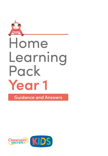

**Guidance and Answers** 

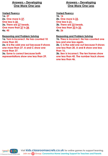## **Answers – Developing One More One Less**

#### **Varied Fluency 1a. 37 2a. One more is 37. One less is 35. 3a. There are 27 beads. One more than 27 is 28. 4a. 45**

#### **Reasoning and Problem Solving**

**1a. Tom is incorrect. He has counted 10 more than 22.**

**2a. B is the odd one out because it shows one more than 27. A and C show one more than 37.** 

**3a. Esme is correct because both representations show one less than 29.** 

## **Answers – Developing One More One Less**

#### **Varied Fluency 1b. 16 2b. One more is 23. One less is 21. 3b. There are 33 beads. One less than 33 is 32. 4b. 26**

## **Reasoning and Problem Solving**

**1b. Theo is incorrect. He has counted one less and one less again.**

**2b. C is the odd one out because it shows one less than 20. A and B show one less than 16.** 

**3b. Ben is incorrect. The ten frames show one less than 45. The number track shows one less than 46.**

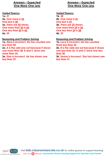## **Answers – Expected One More One Less**

#### **Varied Fluency 1a. 31 2a. One more is 32. One less is 30. 3a. There are 43 straws. One more than 43 is 44. One less than 43 is 42. 4a. 39**

#### **Reasoning and Problem Solving**

**1a. Abra is incorrect. He has counted one less than 44.**

**2a. A is the odd one out because it shows one more than 38. B and C show one more than 34.** 

**3a. Stan is incorrect. He has shown one less than 39.**

## **Answers – Expected One More One Less**

**Varied Fluency 1b. 38 2b. One more is 41. One less is 39. 3b. There are 29 straws. One more than 29 is 30. One less than 29 is 28. 4b. 39**

**Reasoning and Problem Solving 1b. Luca is incorrect. He has counted three less than 25.**

**2b. B is the odd one out because it shows one less than 26. A and C show one less than 28.**

**3b. Emma is incorrect. She has shown one less than 31.**

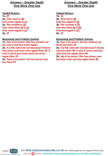## **Answers – Greater Depth One More One Less**

#### **Varied Fluency 1a. 49 2a. One more is 30. One more again is 31. 3a. The number is 35. One more than 35 is 36. One more again is 37. 4a. 39**

#### **Reasoning and Problem Solving**

**1a. Tess is incorrect. She has worked out two more and two more again. 2a. A is the odd one out because it shows one more and one more again than 30. B and C show one more and one more again than 29.**

**3a. Theo is incorrect. He has shown one less than 29.**

## **Answers – Greater Depth One More One Less**

#### **Varied Fluency 1b. 23 2b. One less is 30. One less again is 29. 3b. The number is 29. One less than 29 is 28. One less again is 27. 4b. 29**

#### **Reasoning and Problem Solving**

**1b. Gus is incorrect. He has worked out three less than 25.**

**2b. B is the odd one out because it shows one less than 48. A and C show one less and one less again than 48.**

**3b. Isla is incorrect. She has shown one less than and one less again than 40.**

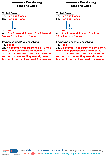## **Answers – Developing Tens and Ones**

**Varied Fluency 1a. 1 ten and 2 ones. 2a. 1 ten and 1 one:** 

**3a. True 4a. 15** → **1 ten and 5 ones; 13** → **1 ten and 3 ones; 11** → **1 ten and 1 one**

**Reasoning and Problem Solving**

**1a. 2 ones 2a. A because it has partitioned 11. Both B and C have partitioned the number 13. 3a. Tom is correct because 14 is the same as 1 ten and 4 ones. They already have 1 ten and 2 ones, so they need 2 more ones.**

## **Answers – Developing Tens and Ones**

**Varied Fluency 1b. 1 ten and 5 ones. 2b. 1 ten and 4 ones: 3b. True 4b. 14** → **1 ten and 4 ones; 10** → **1 ten;** 

 $12 \rightarrow 1$  ten and 2 ones

**Reasoning and Problem Solving**

**1b. 1 one 2b. C because it has partitioned 10. Both A and B have partitioned the number 11. 3b. Kat is correct because 13 is the same as 1 ten and 3 ones. They already have 1 ten and 2 ones, so they need 1 more one.**

**© Classroom Secrets Limited 2020 Visit kids.classroomsecrets.co.uk for online games to support learning. Join our Group: Coronavirus Home Learning Support for Teachers and Parents**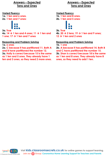## **Answers – Expected Tens and Ones**

**Varied Fluency 1a. 1 ten and 6 ones. 2a. 1 ten and 7 ones:**



**3a. True 4a. 14** → **1 ten and 4 ones; 11** → **1 ten and 1 one; 17** → **1 ten and 7 ones**

**Reasoning and Problem Solving**

**1a. 6 ones 2a. C because it has partitioned 11. Both A and B have partitioned the number 12. 3a. Holly is correct because 15 is the same as 1 ten and 5 ones. They already have 1 ten and 3 ones, so they need 2 more ones.**

## **Answers – Expected Tens and Ones**

**Varied Fluency 1b. 1 ten and 8 ones. 2b. 1 ten and 5 ones:**



**3b. True 4b. 20** → **2 tens; 19** → **1 ten and 9 ones; 12** → **1 ten and 2 ones**

### **Reasoning and Problem Solving**

**1b. 1 one**

**2b. A because it has partitioned 14. Both B and C have partitioned the number 15. 3b. Shan is correct because 18 is the same as 1 ten and 8 ones. They already have 8 ones, so they need to add 1 ten.**

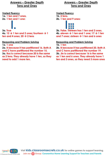## **Answers – Greater Depth Tens and Ones**

**Varied Fluency 1a. 1 ten and 7 ones. 2a. 1 ten and 1 one:**

## **3a. True**

**4a. 12** → **1 ten and 2 ones; fourteen** → **1**  ten and 4 ones;  $20 \rightarrow 2$  tens

#### **Reasoning and Problem Solving**

**1a. 1 one**

**2a. B because it has partitioned 16. Both A and C have partitioned the number 15. 3a. Roz is correct because 20 is the same as 2 tens. They already have 1 ten, so they need to add 1 more ten.**

## **Answers – Greater Depth Tens and Ones**

**Varied Fluency 1b. 2 tens. 2b. 1 ten and 9 ones:**



**3b. False. Thirteen has 1 ten and 3 ones. 4b. eleven** → **1 ten and 1 one; 17** → **1 ten and 7 ones; sixteen** → **1 ten and 6 ones**

#### **Reasoning and Problem Solving**

**1b. 1 ten**

**2b. B because it has partitioned 20. Both A and C have partitioned the number 19. 3b. Jin is correct because 16 is the same as 1 ten and 6 ones. They already have 1 ten and 3 ones, so they need 3 more ones**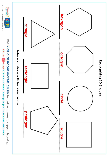

© Classroom Secrets Limited 2020 **© Classroom Secrets Limited 2020**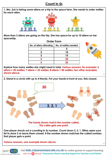## **Count in 5s**

**1. Mrs. Zuk is taking some aliens on a trip to the space farm. She needs to order wellies for each alien.**



**More than 3 aliens are going on the trip. She has space for up to 10 aliens on her spaceship.**

| <b>Order Form</b>       |                       |
|-------------------------|-----------------------|
| No. of aliens attending | No. of wellies needed |
|                         |                       |
|                         | 10                    |
|                         | 15                    |
|                         | 20                    |
|                         | 75                    |



DP

DP

**Explore how many wellies she might need in total. Various answers, for example: 6 aliens = 30 wellies; 7 aliens = 35 wellies; 8 aliens = 40 wellies; two other examples shown above.**

**2. Stand in a circle with up to 4 friends. Put your hands in front of you, fists closed.**



**that player gets a point.**

**© Classroom Secrets Limited 2020**

**Various answers, one example shown above.**

**Visit kids.classroomsecrets.co.uk for online games to support learning. Join our Group: Coronavirus Home Learning Support for Teachers and Parents**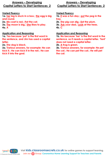### **Answers – Developing Capital Letters to Start Sentences 2**

#### **Varied Fluency**

1a. her leg is stuck in a box.; the egg is big **and round.**

**2a. His coat is red.; Pat the cat.**

**3a. The moon is big.; She likes to play. 4a. A**

### **Application and Reasoning**

**1a. Yes because 'put' is the first word in the sentence, and Jim has used a capital letter.**

**2a. The dog is black.**

**3a. Various answers, for example: He can kick it.; He can kick it in the net.; He can kick it into the goal.**

## **Answers – Developing Capital Letters to Start Sentences 2**

#### **Varied Fluency**

**1b. it was a fun day.; put the peg in the tray.**

**2b. The pig can dig.; Eat the plum.**

**3b. Ask your dad.; Look at the trees.**

**4b. C**

#### **Application and Reasoning**

**1b. No because 'her' is the first word in the sentence, so it needs a capital letter. 'Tent' does not need a capital letter.**

**2b. A frog is green.**

**3b. Various answers, for example: He pet the cat.; He can pet the cat.; He will pet the cat.**

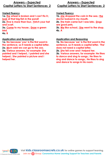### **Answers – Expected Capital Letters to Start Sentences 2**

#### **Varied Fluency**

**1a. the wheel is broken and I can't fix it.; look at that big fish in the pond! 2a. Five is more than four.; Fetch your hat and scarf.**

**3a. Come to my house.; Draw a green bird.**

**4a. B**

## **Application and Reasoning**

**1a. No because 'you' is the first word in the sentence, so it needs a capital letter. 2a. Mum said we can go to the zoo. 3a. Various answers, for example: She painted and I helped.; I painted and she helped.; She painted a picture and I helped her.**

## **Answers – Expected Capital Letters to Start Sentences 2**

#### **Varied Fluency**

1b. she dropped the coin in the sea.; the **doctor looked in my mouth. 2b. The train came but I was late.; Dogs are good pets.**

**3b. We like school.; She went to the shop. 4b. A**

#### **Application and Reasoning**

**1b. No because 'we' is the first word in the sentence, so it needs a capital letter. 'The' does not need a capital letter.**

**2b. She fell over and I helped her.**

**3b. Various answers, for example: He likes to dance and sing to songs.; He likes to sing and dance to songs.; He likes to sing and dance to songs in his room.**

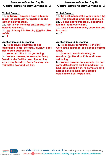### **Answers – Greater Depth Capital Letters to Start Sentences 2**

#### **Varied Fluency**

**1a. on Friday, I travelled down a bumpy road.; the girl forgot her sports kit so she couldn't play football.**

**2a. Join in with the class on Monday.; Your horse is very frisky.**

**3a. My birthday is in March.; Ride the bike safely.**

**4a. A**

#### **Application and Reasoning**

**1a. No because although she has capitalised 'jump' correctly, 'quickly' does not need a capital letter.** 

**2a. Nana and I like to do gardening.** 

**3a. Various answers, for example: Every Tuesday, she fed the cow.; She fed the cow every Tuesday.; Every Tuesday, she visited the cow and fed him.**

## **Answers – Greater Depth Capital Letters to Start Sentences 2**

#### **Varied Fluency**

1b. the best month of the year is June.; the **jelly was disgusting and I did not enjoy it. 2b. Go and get your football.; Reading is fun and I read every night.**

**3b. June is the sixth month.; Under the bed is a mess.**

**4b. C**

#### **Application and Reasoning**

**1b. No because 'sometimes' is the first word in the sentence, so it needs a capital letter.**

**2b. Kate and I went swimming on Monday.; On Monday, Kate and I went swimming.**

**3b. Various answers, for example: He had some difficult sums but I helped him.; He had some difficult work to complete but I helped him.; He had some difficult calculations but I helped him.** 

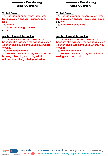## **Answers – Developing Using Questions**

### **Varied Fluency**

**1a. Question opener – what, how, why; Not a question opener – garden, pen, book 2a. Where 3a. When did you get there?**

**4a. B**

#### **Application and Reasoning**

**1a. Her question doesn't make sense, because she has used the wrong question opener. She could have used how, where or who.** 

**2a. What is your name?**

**3a. No, because A is asking which person is being talked to; B is asking what animal/plant/thing is being talked to.**

## **Answers – Developing Using Questions**

**Varied Fluency** 

**1b. Question opener – where, when, who; Not a question opener – desk, seat, paper 2b. Why 3b. What did they leave? 4b. C**

**Application and Reasoning**

**1b. Her question doesn't make sense, because she has used the wrong question opener. She could have used where, why or when.**

**2b. How old are you?**

**3b. No, because A is asking what time; B is asking what transport.**

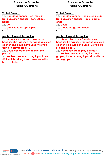## **Answers – Expected Using Questions**

#### **Varied Fluency**

**1a. Questions opener – are, may, if; Not a question opener – pen, school, pencil 2a. Do 3a. Can I have an apple please? 4a. C**

#### **Application and Reasoning**

**1a. Her question doesn't make sense, because she has used the wrong question opener. She could have used 'Are you going to play football?'.**

**2a. Could you open the door for me please?** 

**3a. No, because A is asking if you have a sticker; B is asking if you are allowed to have a sticker.**

## **Answers – Expected Using Questions**

**Varied Fluency** 

**1b. Question opener – should, could, do; Not a question opener – table, board, chair 2b. Could 3b. Should we go home now? 4b. A**

**Application and Reasoning**

**1b. His question doesn't make sense, because he has used the wrong question opener. He could have used 'Do you like fish and chips?'.**

**2b. Would you like to play outside? 3b. No, because A is asking for some grapes; B is wondering if you should have some grapes.**

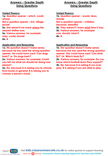## **Answers – Greater Depth Using Questions**

#### **Varied Fluency**

**1a. Question opener – which, could, whose; Not a question opener – but, village, jacket 2a. She asked if we knew where the nearest station was. 3a. Various answers, for example:** 

**may, could, should 4a. B**

#### **Application and Reasoning**

**1a. His question doesn't make sense, because he has used the wrong question opener. He could have used 'Can dogs bark?' or 'Do dogs bark?'.**

**2a. Various answers, for example: Could you tell me what we should be doing now please?**

**3a. No, because A is asking you to choose from books in general; B is asking you to choose a person's book.**

## **Answers – Greater Depth Using Questions**

**Varied Fluency 1b. Question opener – would, does, should; Not a question opener – children, because, beautiful 2b. They asked if I knew what time it was. 3b. Various answers, for example: can, should, what if 4b. B**

#### **Application and Reasoning**

**1b. Her question doesn't make sense, because she has used the wrong question opener. She could have used 'Can birds fly?' Or 'Which birds fly?'.**

**2b. Various answers, for example: Do you know which football team they support? 3b. No, because A is asking if you ever play; B is asking if you are able to play.**

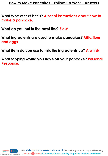## **How to Make Pancakes – Follow-Up Work – Answers**

**What type of text is this? A set of instructions about how to make a pancake.**

**What do you put in the bowl first? Flour**

**What ingredients are used to make pancakes? Milk, flour and eggs**

**What item do you use to mix the ingredients up? A whisk**

**What topping would you have on your pancake? Personal Response**.

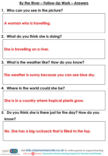## **By the River – Follow-Up Work – Answers**

## **1. Who can you see in the picture?**

**A woman who is travelling.**

# **2. What do you think she is doing?**

**She is travelling on a river.**

**3. What is the weather like? How do you know?** 

**The weather is sunny because you can see blue sky.**

**4. Where in the world could she be?** 

**She is in a country where tropical plants grow.**

**5. Do you think she is there just for the day? How do you** 

**know?**

**© Classroom Secrets Limited 2020**

**No. She has a big rucksack that is filled to the top.**

**Visit kids.classroomsecrets.co.uk for online games to support learning. Join our Group: Coronavirus Home Learning Support for Teachers and Parents**